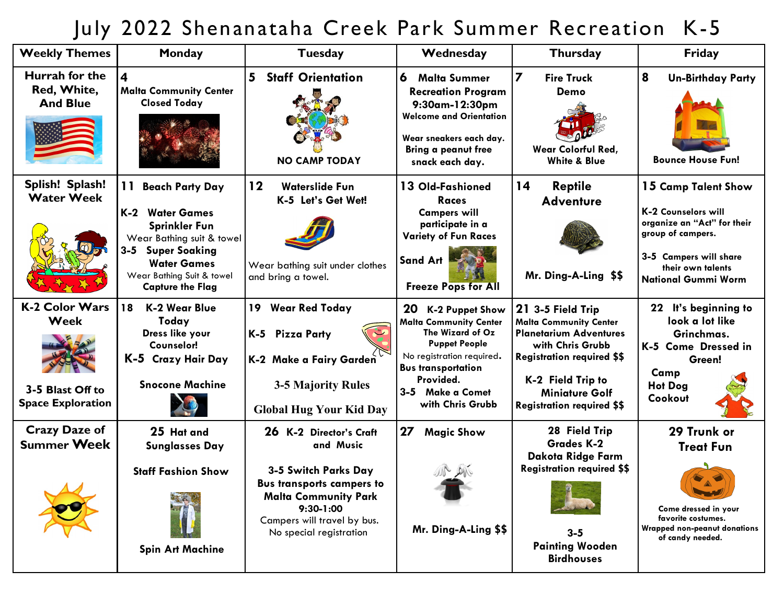## July 2022 Shenanataha Creek Park Summer Recreation K-5

| <b>Weekly Themes</b>                                                          | Monday                                                                                                                                                                                                                       | <b>Tuesday</b>                                                                                                                                                                                             | Wednesday                                                                                                                                                                                                                | <b>Thursday</b>                                                                                                                                                                                                                 | Friday                                                                                                                                                                      |
|-------------------------------------------------------------------------------|------------------------------------------------------------------------------------------------------------------------------------------------------------------------------------------------------------------------------|------------------------------------------------------------------------------------------------------------------------------------------------------------------------------------------------------------|--------------------------------------------------------------------------------------------------------------------------------------------------------------------------------------------------------------------------|---------------------------------------------------------------------------------------------------------------------------------------------------------------------------------------------------------------------------------|-----------------------------------------------------------------------------------------------------------------------------------------------------------------------------|
| Hurrah for the<br>Red, White,<br><b>And Blue</b>                              | $\overline{\mathbf{4}}$<br><b>Malta Community Center</b><br><b>Closed Today</b>                                                                                                                                              | 5<br><b>Staff Orientation</b><br><b>NO CAMP TODAY</b>                                                                                                                                                      | 6<br><b>Malta Summer</b><br><b>Recreation Program</b><br>9:30am-12:30pm<br><b>Welcome and Orientation</b><br>Wear sneakers each day.<br><b>Bring a peanut free</b><br>snack each day.                                    | $\overline{z}$<br><b>Fire Truck</b><br>Demo<br>Wear Colorful Red,<br><b>White &amp; Blue</b>                                                                                                                                    | 8<br><b>Un-Birthday Party</b><br><b>Bounce House Fun!</b>                                                                                                                   |
| Splish! Splash!<br><b>Water Week</b><br>$\omega$                              | 11<br><b>Beach Party Day</b><br><b>K-2 Water Games</b><br><b>Sprinkler Fun</b><br>Wear Bathing suit & towel<br>$3 - 5$<br><b>Super Soaking</b><br><b>Water Games</b><br>Wear Bathing Suit & towel<br><b>Capture the Flag</b> | 12<br><b>Waterslide Fun</b><br>K-5 Let's Get Wet!<br>Wear bathing suit under clothes<br>and bring a towel.                                                                                                 | 13 Old-Fashioned<br><b>Races</b><br><b>Campers will</b><br>participate in a<br><b>Variety of Fun Races</b><br><b>Sand Art</b><br><b>Freeze Pops for All</b>                                                              | 14<br><b>Reptile</b><br><b>Adventure</b><br>Mr. Ding-A-Ling \$\$                                                                                                                                                                | 15 Camp Talent Show<br>K-2 Counselors will<br>organize an "Act" for their<br>group of campers.<br>3-5 Campers will share<br>their own talents<br><b>National Gummi Worm</b> |
| <b>K-2 Color Wars</b><br>Week<br>3-5 Blast Off to<br><b>Space Exploration</b> | 18<br>K-2 Wear Blue<br>Today<br>Dress like your<br>Counselor!<br>K-5 Crazy Hair Day<br><b>Snocone Machine</b>                                                                                                                | 19 Wear Red Today<br>K-5 Pizza Party<br>K-2 Make a Fairy Garden<br><b>3-5 Majority Rules</b><br><b>Global Hug Your Kid Day</b>                                                                             | 20<br><b>K-2 Puppet Show</b><br><b>Malta Community Center</b><br>The Wizard of Oz<br><b>Puppet People</b><br>No registration required.<br><b>Bus transportation</b><br>Provided.<br>3-5 Make a Comet<br>with Chris Grubb | 21 3-5 Field Trip<br><b>Malta Community Center</b><br><b>Planetarium Adventures</b><br>with Chris Grubb<br><b>Registration required \$\$</b><br>K-2 Field Trip to<br><b>Miniature Golf</b><br><b>Registration required \$\$</b> | 22 It's beginning to<br>look a lot like<br>Grinchmas.<br>K-5 Come Dressed in<br>Green!<br>Camp<br><b>Hot Dog</b><br>Cookout                                                 |
| <b>Crazy Daze of</b><br><b>Summer Week</b><br>$\lambda$ $\lambda$             | 25 Hat and<br><b>Sunglasses Day</b><br><b>Staff Fashion Show</b><br><b>Spin Art Machine</b>                                                                                                                                  | 26 K-2 Director's Craft<br>and Music<br>3-5 Switch Parks Day<br><b>Bus transports campers to</b><br><b>Malta Community Park</b><br>$9:30 - 1:00$<br>Campers will travel by bus.<br>No special registration | 27<br><b>Magic Show</b><br>Mr. Ding-A-Ling \$\$                                                                                                                                                                          | 28 Field Trip<br><b>Grades K-2</b><br>Dakota Ridge Farm<br><b>Registration required \$\$</b><br>$3 - 5$<br><b>Painting Wooden</b><br><b>Birdhouses</b>                                                                          | 29 Trunk or<br><b>Treat Fun</b><br>Come dressed in your<br>favorite costumes.<br>Wrapped non-peanut donations<br>of candy needed.                                           |